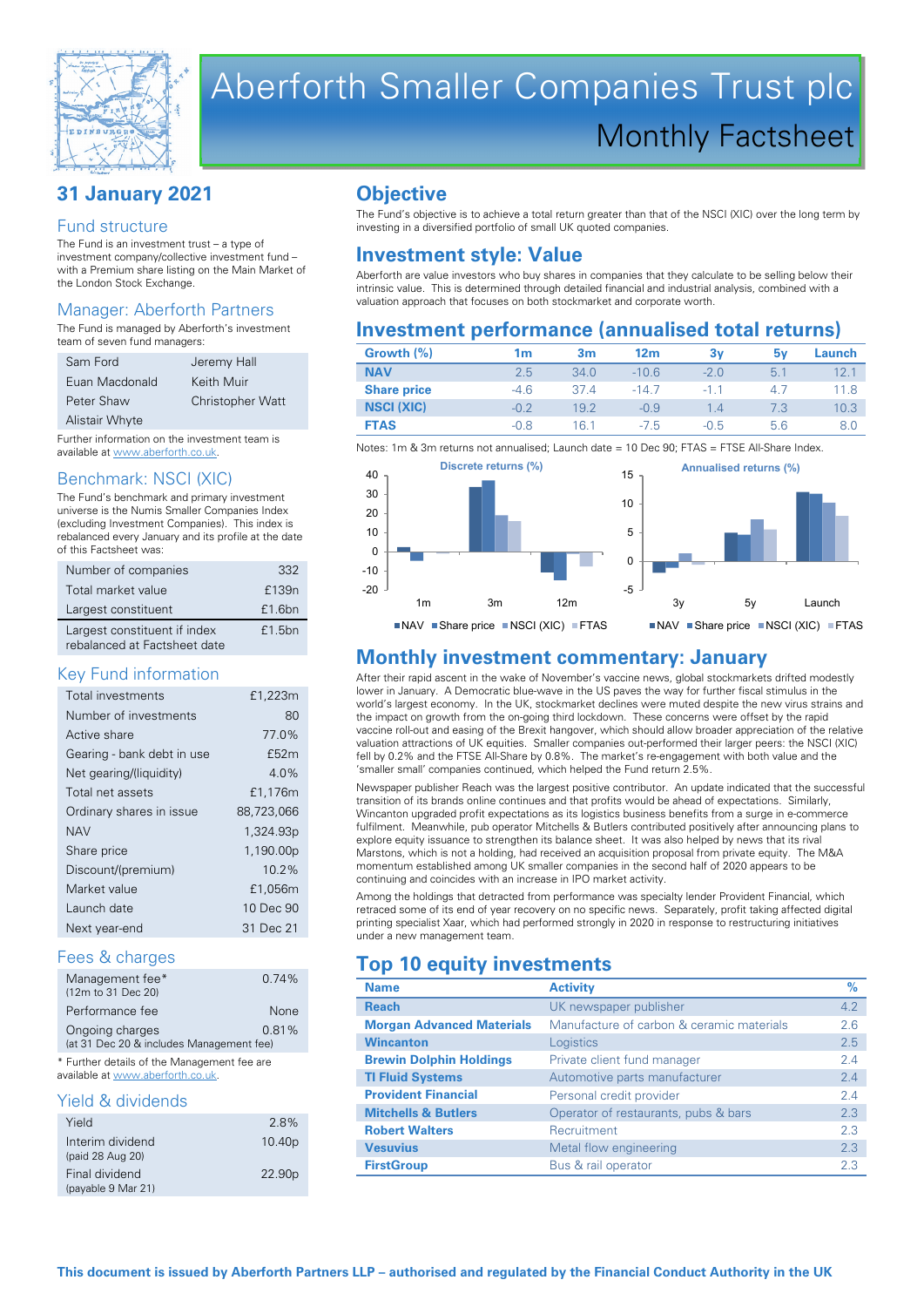

# Aberforth Smaller Companies Trust plc Monthly Factsheet

# **31 January 2021**

#### Fund structure

The Fund is an investment trust – a type of investment company/collective investment fund – with a Premium share listing on the Main Market of the London Stock Exchange.

# Manager: Aberforth Partners

The Fund is managed by Aberforth's investment team of seven fund managers:

| Sam Ford       | Jeremy Hall             |
|----------------|-------------------------|
| Euan Macdonald | Keith Muir              |
| Peter Shaw     | <b>Christopher Watt</b> |
| Alistair Whyte |                         |

Further information on the investment team is available at www.aberforth.co.uk.

#### Benchmark: NSCI (XIC)

The Fund's benchmark and primary investment universe is the Numis Smaller Companies Index (excluding Investment Companies). This index is rebalanced every January and its profile at the date of this Factsheet was:

| Number of companies                                          | 332    |
|--------------------------------------------------------------|--------|
| Total market value                                           | £139n  |
| Largest constituent                                          | £1.6bn |
| Largest constituent if index<br>rebalanced at Factsheet date | £1.5bn |

#### Key Fund information

| Total investments          | £1,223m    |
|----------------------------|------------|
| Number of investments      | 80         |
| Active share               | 77.0%      |
| Gearing - bank debt in use | £52m       |
| Net gearing/(liquidity)    | 4.0%       |
| Total net assets           | £1,176m    |
| Ordinary shares in issue   | 88,723,066 |
| <b>NAV</b>                 | 1,324.93p  |
| Share price                | 1,190.00p  |
| Discount/(premium)         | $10.2\%$   |
| Market value               | £1,056m    |
| Launch date                | 10 Dec 90  |
| Next year-end              | 31 Dec 21  |

#### Fees & charges

| Management fee*                          | 0.74% |  |
|------------------------------------------|-------|--|
| (12m to 31 Dec 20)                       |       |  |
| Performance fee                          | None  |  |
| Ongoing charges                          | 0.81% |  |
| (at 31 Dec 20 & includes Management fee) |       |  |

\* Further details of the Management fee are available at www.aberforth.co.uk.

#### Yield & dividends

| Yield                                | 28%                |
|--------------------------------------|--------------------|
| Interim dividend<br>(paid 28 Aug 20) | 10.40 <sub>p</sub> |
| Final dividend<br>(payable 9 Mar 21) | 22.90 <sub>p</sub> |

# **Objective**

The Fund's objective is to achieve a total return greater than that of the NSCI (XIC) over the long term by investing in a diversified portfolio of small UK quoted companies.

# **Investment style: Value**

Aberforth are value investors who buy shares in companies that they calculate to be selling below their intrinsic value. This is determined through detailed financial and industrial analysis, combined with a valuation approach that focuses on both stockmarket and corporate worth.

# **Investment performance (annualised total returns)**

| Growth (%)         | 1 <sub>m</sub> | 3m   | 12 <sub>m</sub> | 3v        | 5۷  | Launch |
|--------------------|----------------|------|-----------------|-----------|-----|--------|
| <b>NAV</b>         | 2.5            | 34.0 | $-10.6$         | $-2.0$    | 5.1 | 12.1   |
| <b>Share price</b> | $-4.6$         | 374  | $-14.7$         | $-1 \; 1$ | 4.7 | 11.8   |
| <b>NSCI (XIC)</b>  | $-0.2$         | 19.2 | $-0.9$          | 1.4       | 7.3 | 10.3   |
| <b>FTAS</b>        | $-0.8$         | 16 1 | -7.5            | $-0.5$    | 5.6 | 8.0    |

Notes: 1m & 3m returns not annualised; Launch date = 10 Dec 90; FTAS = FTSE All-Share Index



# **Monthly investment commentary: January**

After their rapid ascent in the wake of November's vaccine news, global stockmarkets drifted modestly lower in January. A Democratic blue-wave in the US paves the way for further fiscal stimulus in the world's largest economy. In the UK, stockmarket declines were muted despite the new virus strains and the impact on growth from the on-going third lockdown. These concerns were offset by the rapid vaccine roll-out and easing of the Brexit hangover, which should allow broader appreciation of the relative valuation attractions of UK equities. Smaller companies out-performed their larger peers: the NSCI (XIC) fell by 0.2% and the FTSE All-Share by 0.8%. The market's re-engagement with both value and the 'smaller small' companies continued, which helped the Fund return 2.5%.

Newspaper publisher Reach was the largest positive contributor. An update indicated that the successful transition of its brands online continues and that profits would be ahead of expectations. Similarly, Wincanton upgraded profit expectations as its logistics business benefits from a surge in e-commerce fulfilment. Meanwhile, pub operator Mitchells & Butlers contributed positively after announcing plans to explore equity issuance to strengthen its balance sheet. It was also helped by news that its rival Marstons, which is not a holding, had received an acquisition proposal from private equity. The M&A momentum established among UK smaller companies in the second half of 2020 appears to be continuing and coincides with an increase in IPO market activity.

Among the holdings that detracted from performance was specialty lender Provident Financial, which retraced some of its end of year recovery on no specific news. Separately, profit taking affected digital printing specialist Xaar, which had performed strongly in 2020 in response to restructuring initiatives under a new management team.

# **Top 10 equity investments**

| <b>Name</b>                      | <b>Activity</b>                           | $\%$ |
|----------------------------------|-------------------------------------------|------|
| <b>Reach</b>                     | UK newspaper publisher                    | 4.2  |
| <b>Morgan Advanced Materials</b> | Manufacture of carbon & ceramic materials | 2.6  |
| <b>Wincanton</b>                 | Logistics                                 | 2.5  |
| <b>Brewin Dolphin Holdings</b>   | Private client fund manager               | 2.4  |
| <b>TI Fluid Systems</b>          | Automotive parts manufacturer             | 2.4  |
| <b>Provident Financial</b>       | Personal credit provider                  | 2.4  |
| <b>Mitchells &amp; Butlers</b>   | Operator of restaurants, pubs & bars      | 2.3  |
| <b>Robert Walters</b>            | Recruitment                               | 2.3  |
| <b>Vesuvius</b>                  | Metal flow engineering                    | 2.3  |
| <b>FirstGroup</b>                | Bus & rail operator                       | 2.3  |